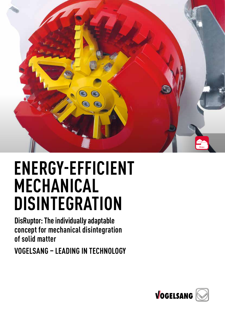

## **ENERGY-EFFICIENT MECHANICAL DISINTEGRATION**

**DisRuptor: The individually adaptable concept for mechanical disintegration of solid matter**

**VOGELSANG – LEADING IN TECHNOLOGY**

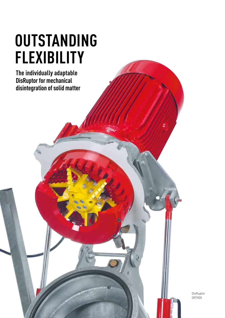# **OUTSTANDING FLEXIBILITY**

**The individually adaptable DisRuptor for mechanical disintegration of solid matter**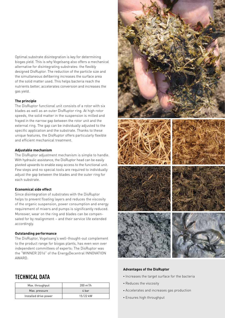Optimal substrate disintegration is key for determining biogas yield. This is why Vogelsang also offers a mechanical alternative for disintegrating substrates: the flexibly designed DisRuptor. The reduction of the particle size and the simultaneous defibering increases the surface area of the solid matter used. This helps bacteria reach the nutrients better, accelerates conversion and increases the gas yield.

#### **The principle**

The DisRuptor functional unit consists of a rotor with six blades as well as an outer DisRuptor ring. At high rotor speeds, the solid matter in the suspension is milled and frayed in the narrow gap between the rotor unit and the external ring. The gap can be individually adjusted to the specific application and the substrate. Thanks to these unique features, the DisRuptor offers particularly flexible and efficient mechanical treatment.

#### **Adjustable mechanism**

The DisRuptor adjustment mechanism is simple to handle. With hydraulic assistance, the DisRuptor head can be easily pivoted upwards to enable easy access to the functional unit. Few steps and no special tools are required to individually adjust the gap between the blades and the outer ring for each substrate.

#### **Economical side effect**

Since disintegration of substrates with the DisRuptor helps to prevent floating layers and reduces the viscosity of the organic suspension, power consumption and energy requirement of mixers and pumps is significantly reduced. Moreover, wear on the ring and blades can be compensated for by realignment – and their service life extended accordingly.

#### **Outstanding performance**

The DisRuptor, Vogelsang's well-thought-out complement to the product range for biogas plants, has even won over independent committees of experts: The DisRuptor was the "WINNER 2016" of the EnergyDecentral INNOVATION AWARD.

### **TECHNICAL DATA**

| Max. throughput       | $200 \text{ m}^3/h$ |
|-----------------------|---------------------|
| Max. pressure         | 4 bar               |
| Installed drive power | 15/22 kW            |



#### **Advantages of the DisRuptor**

- Increases the target surface for the bacteria
- Reduces the viscosity
- Accelerates and increases gas production
- Ensures high throughput